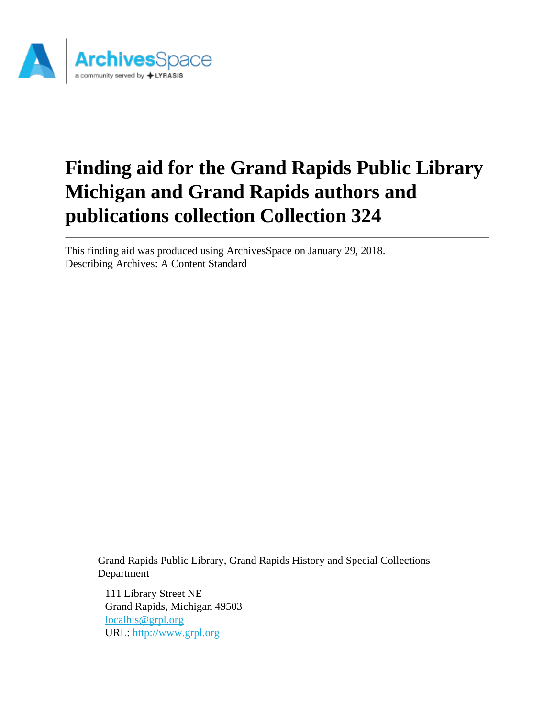

# **Finding aid for the Grand Rapids Public Library Michigan and Grand Rapids authors and publications collection Collection 324**

This finding aid was produced using ArchivesSpace on January 29, 2018. Describing Archives: A Content Standard

> Grand Rapids Public Library, Grand Rapids History and Special Collections Department

111 Library Street NE Grand Rapids, Michigan 49503 [localhis@grpl.org](mailto:localhis@grpl.org) URL:<http://www.grpl.org>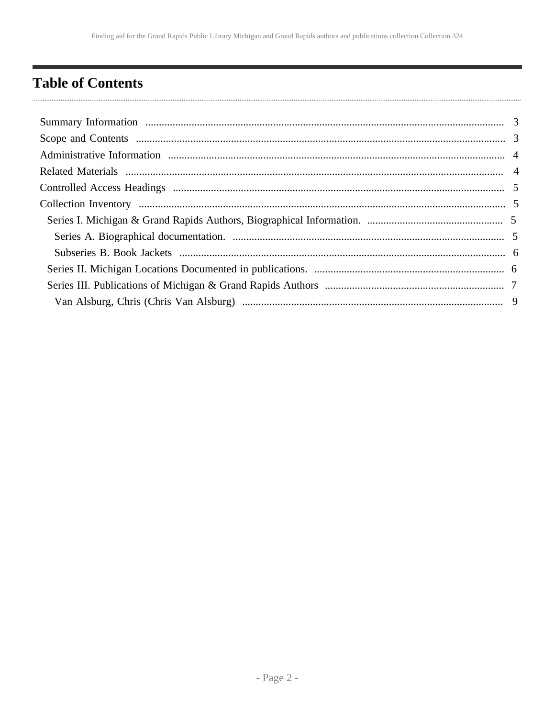# <span id="page-1-0"></span>**Table of Contents**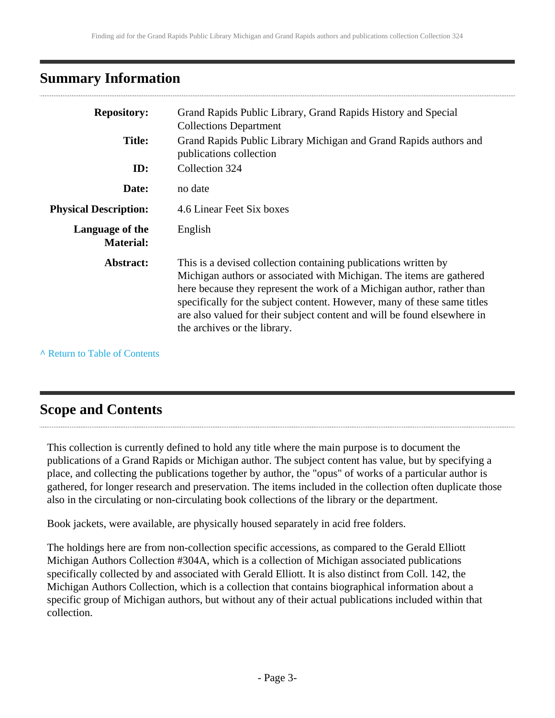# <span id="page-2-0"></span>**Summary Information**

|                                     | Grand Rapids Public Library, Grand Rapids History and Special                                                                                                                                                                                                                                                                                                                                             |
|-------------------------------------|-----------------------------------------------------------------------------------------------------------------------------------------------------------------------------------------------------------------------------------------------------------------------------------------------------------------------------------------------------------------------------------------------------------|
| <b>Repository:</b>                  | <b>Collections Department</b>                                                                                                                                                                                                                                                                                                                                                                             |
| <b>Title:</b>                       | Grand Rapids Public Library Michigan and Grand Rapids authors and<br>publications collection                                                                                                                                                                                                                                                                                                              |
| ID:                                 | Collection 324                                                                                                                                                                                                                                                                                                                                                                                            |
| Date:                               | no date                                                                                                                                                                                                                                                                                                                                                                                                   |
| <b>Physical Description:</b>        | 4.6 Linear Feet Six boxes                                                                                                                                                                                                                                                                                                                                                                                 |
| Language of the<br><b>Material:</b> | English                                                                                                                                                                                                                                                                                                                                                                                                   |
| Abstract:                           | This is a devised collection containing publications written by<br>Michigan authors or associated with Michigan. The items are gathered<br>here because they represent the work of a Michigan author, rather than<br>specifically for the subject content. However, many of these same titles<br>are also valued for their subject content and will be found elsewhere in<br>the archives or the library. |

**^** [Return to Table of Contents](#page-1-0)

# <span id="page-2-1"></span>**Scope and Contents**

This collection is currently defined to hold any title where the main purpose is to document the publications of a Grand Rapids or Michigan author. The subject content has value, but by specifying a place, and collecting the publications together by author, the "opus" of works of a particular author is gathered, for longer research and preservation. The items included in the collection often duplicate those also in the circulating or non-circulating book collections of the library or the department.

Book jackets, were available, are physically housed separately in acid free folders.

The holdings here are from non-collection specific accessions, as compared to the Gerald Elliott Michigan Authors Collection #304A, which is a collection of Michigan associated publications specifically collected by and associated with Gerald Elliott. It is also distinct from Coll. 142, the Michigan Authors Collection, which is a collection that contains biographical information about a specific group of Michigan authors, but without any of their actual publications included within that collection.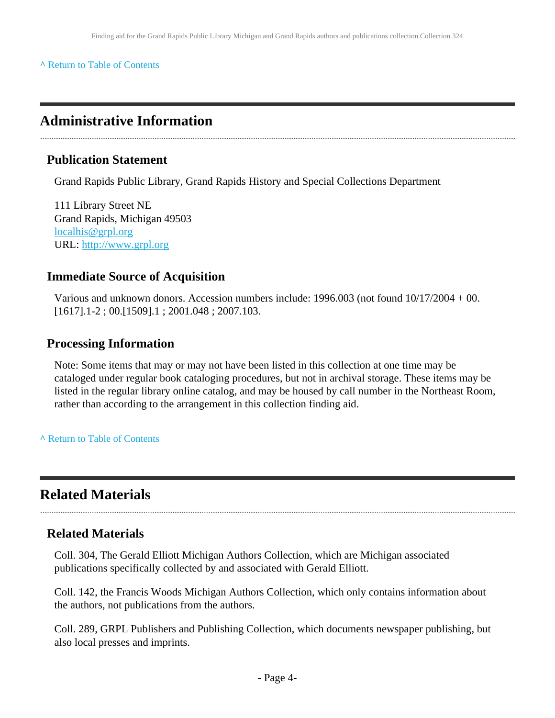#### **^** [Return to Table of Contents](#page-1-0)

### <span id="page-3-0"></span>**Administrative Information**

#### **Publication Statement**

Grand Rapids Public Library, Grand Rapids History and Special Collections Department

111 Library Street NE Grand Rapids, Michigan 49503 [localhis@grpl.org](mailto:localhis@grpl.org) URL:<http://www.grpl.org>

#### **Immediate Source of Acquisition**

Various and unknown donors. Accession numbers include: 1996.003 (not found 10/17/2004 + 00. [1617].1-2 ; 00.[1509].1 ; 2001.048 ; 2007.103.

#### **Processing Information**

Note: Some items that may or may not have been listed in this collection at one time may be cataloged under regular book cataloging procedures, but not in archival storage. These items may be listed in the regular library online catalog, and may be housed by call number in the Northeast Room, rather than according to the arrangement in this collection finding aid.

**^** [Return to Table of Contents](#page-1-0)

# <span id="page-3-1"></span>**Related Materials**

#### **Related Materials**

Coll. 304, The Gerald Elliott Michigan Authors Collection, which are Michigan associated publications specifically collected by and associated with Gerald Elliott.

Coll. 142, the Francis Woods Michigan Authors Collection, which only contains information about the authors, not publications from the authors.

Coll. 289, GRPL Publishers and Publishing Collection, which documents newspaper publishing, but also local presses and imprints.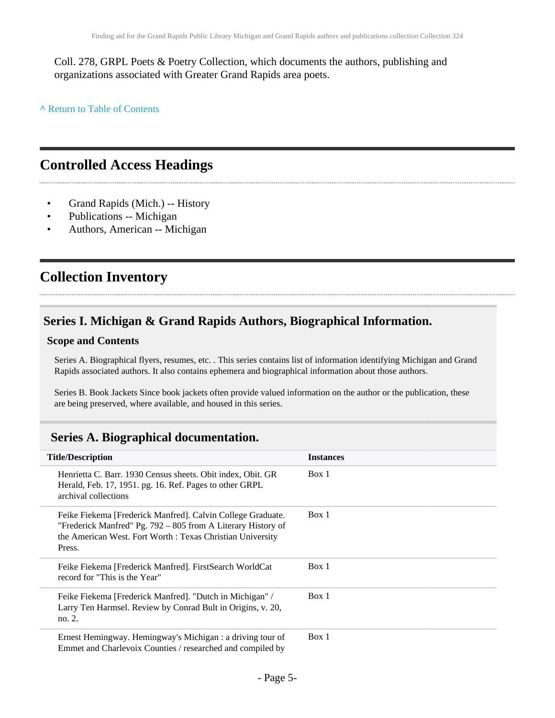Coll. 278, GRPL Poets & Poetry Collection, which documents the authors, publishing and organizations associated with Greater Grand Rapids area poets.

**^** [Return to Table of Contents](#page-1-0)

# <span id="page-4-0"></span>**Controlled Access Headings**

- Grand Rapids (Mich.) -- History
- Publications -- Michigan
- Authors, American -- Michigan

# <span id="page-4-1"></span>**Collection Inventory**

### <span id="page-4-2"></span>**Series I. Michigan & Grand Rapids Authors, Biographical Information.**

#### **Scope and Contents**

Series A. Biographical flyers, resumes, etc. . This series contains list of information identifying Michigan and Grand Rapids associated authors. It also contains ephemera and biographical information about those authors.

Series B. Book Jackets Since book jackets often provide valued information on the author or the publication, these are being preserved, where available, and housed in this series.

#### <span id="page-4-3"></span>**Series A. Biographical documentation.**

| <b>Title/Description</b>                                                                                                                                                                           | <b>Instances</b> |
|----------------------------------------------------------------------------------------------------------------------------------------------------------------------------------------------------|------------------|
| Henrietta C. Barr. 1930 Census sheets. Obit index, Obit. GR<br>Herald, Feb. 17, 1951. pg. 16. Ref. Pages to other GRPL<br>archival collections                                                     | Box 1            |
| Feike Fiekema [Frederick Manfred]. Calvin College Graduate.<br>"Frederick Manfred" Pg. 792 – 805 from A Literary History of<br>the American West. Fort Worth: Texas Christian University<br>Press. | Box 1            |
| Feike Fiekema [Frederick Manfred]. FirstSearch WorldCat<br>record for "This is the Year"                                                                                                           | Box 1            |
| Feike Fiekema [Frederick Manfred]. "Dutch in Michigan" /<br>Larry Ten Harmsel. Review by Conrad Bult in Origins, v. 20,<br>no. 2.                                                                  | Box 1            |
| Ernest Hemingway. Hemingway's Michigan : a driving tour of<br>Emmet and Charlevoix Counties / researched and compiled by                                                                           | Box 1            |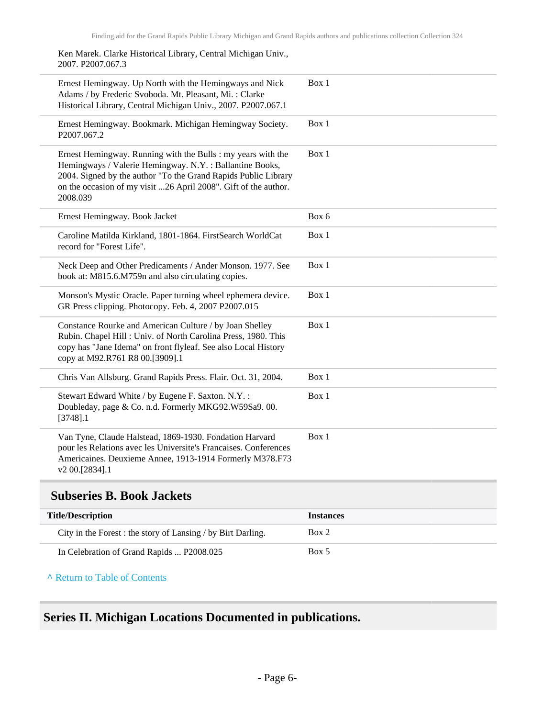Ken Marek. Clarke Historical Library, Central Michigan Univ., 2007. P2007.067.3

| Ernest Hemingway. Up North with the Hemingways and Nick<br>Adams / by Frederic Svoboda. Mt. Pleasant, Mi.: Clarke<br>Historical Library, Central Michigan Univ., 2007. P2007.067.1                                                                                       | Box 1 |
|--------------------------------------------------------------------------------------------------------------------------------------------------------------------------------------------------------------------------------------------------------------------------|-------|
| Ernest Hemingway. Bookmark. Michigan Hemingway Society.<br>P2007.067.2                                                                                                                                                                                                   | Box 1 |
| Ernest Hemingway. Running with the Bulls : my years with the<br>Hemingways / Valerie Hemingway. N.Y.: Ballantine Books,<br>2004. Signed by the author "To the Grand Rapids Public Library<br>on the occasion of my visit 26 April 2008". Gift of the author.<br>2008.039 | Box 1 |
| Ernest Hemingway. Book Jacket                                                                                                                                                                                                                                            | Box 6 |
| Caroline Matilda Kirkland, 1801-1864. FirstSearch WorldCat<br>record for "Forest Life".                                                                                                                                                                                  | Box 1 |
| Neck Deep and Other Predicaments / Ander Monson. 1977. See<br>book at: M815.6.M759n and also circulating copies.                                                                                                                                                         | Box 1 |
| Monson's Mystic Oracle. Paper turning wheel ephemera device.<br>GR Press clipping. Photocopy. Feb. 4, 2007 P2007.015                                                                                                                                                     | Box 1 |
| Constance Rourke and American Culture / by Joan Shelley<br>Rubin. Chapel Hill: Univ. of North Carolina Press, 1980. This<br>copy has "Jane Idema" on front flyleaf. See also Local History<br>copy at M92.R761 R8 00.[3909].1                                            | Box 1 |
| Chris Van Allsburg. Grand Rapids Press. Flair. Oct. 31, 2004.                                                                                                                                                                                                            | Box 1 |
| Stewart Edward White / by Eugene F. Saxton. N.Y.:<br>Doubleday, page & Co. n.d. Formerly MKG92.W59Sa9.00.<br>$[3748]$ .1                                                                                                                                                 | Box 1 |
| Van Tyne, Claude Halstead, 1869-1930. Fondation Harvard<br>pour les Relations avec les Universite's Francaises. Conferences<br>Americaines. Deuxieme Annee, 1913-1914 Formerly M378.F73<br>v2 00.[2834].1                                                                | Box 1 |

### <span id="page-5-0"></span>**Subseries B. Book Jackets**

| <b>Title/Description</b>                                     | <i>Instances</i> |
|--------------------------------------------------------------|------------------|
| City in the Forest : the story of Lansing / by Birt Darling. | Box 2            |
| In Celebration of Grand Rapids  P2008.025                    | Box 5            |

**^** [Return to Table of Contents](#page-1-0)

### <span id="page-5-1"></span>**Series II. Michigan Locations Documented in publications.**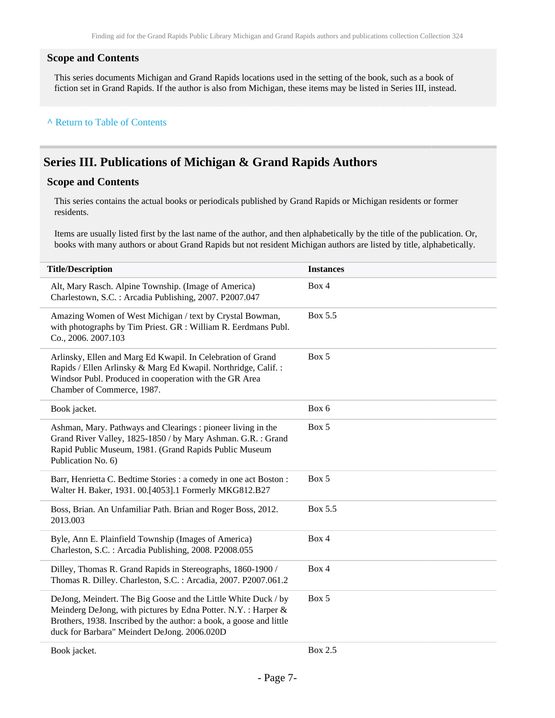#### **Scope and Contents**

This series documents Michigan and Grand Rapids locations used in the setting of the book, such as a book of fiction set in Grand Rapids. If the author is also from Michigan, these items may be listed in Series III, instead.

#### **^** [Return to Table of Contents](#page-1-0)

### <span id="page-6-0"></span>**Series III. Publications of Michigan & Grand Rapids Authors**

#### **Scope and Contents**

This series contains the actual books or periodicals published by Grand Rapids or Michigan residents or former residents.

Items are usually listed first by the last name of the author, and then alphabetically by the title of the publication. Or, books with many authors or about Grand Rapids but not resident Michigan authors are listed by title, alphabetically.

| <b>Title/Description</b>                                                                                                                                                                                                                               | <b>Instances</b> |
|--------------------------------------------------------------------------------------------------------------------------------------------------------------------------------------------------------------------------------------------------------|------------------|
| Alt, Mary Rasch. Alpine Township. (Image of America)<br>Charlestown, S.C.: Arcadia Publishing, 2007. P2007.047                                                                                                                                         | Box 4            |
| Amazing Women of West Michigan / text by Crystal Bowman,<br>with photographs by Tim Priest. GR : William R. Eerdmans Publ.<br>Co., 2006. 2007.103                                                                                                      | Box 5.5          |
| Arlinsky, Ellen and Marg Ed Kwapil. In Celebration of Grand<br>Rapids / Ellen Arlinsky & Marg Ed Kwapil. Northridge, Calif.:<br>Windsor Publ. Produced in cooperation with the GR Area<br>Chamber of Commerce, 1987.                                   | Box 5            |
| Book jacket.                                                                                                                                                                                                                                           | Box 6            |
| Ashman, Mary. Pathways and Clearings: pioneer living in the<br>Grand River Valley, 1825-1850 / by Mary Ashman. G.R. : Grand<br>Rapid Public Museum, 1981. (Grand Rapids Public Museum<br>Publication No. 6)                                            | Box 5            |
| Barr, Henrietta C. Bedtime Stories : a comedy in one act Boston :<br>Walter H. Baker, 1931. 00.[4053].1 Formerly MKG812.B27                                                                                                                            | Box 5            |
| Boss, Brian. An Unfamiliar Path. Brian and Roger Boss, 2012.<br>2013.003                                                                                                                                                                               | Box 5.5          |
| Byle, Ann E. Plainfield Township (Images of America)<br>Charleston, S.C.: Arcadia Publishing, 2008. P2008.055                                                                                                                                          | Box 4            |
| Dilley, Thomas R. Grand Rapids in Stereographs, 1860-1900 /<br>Thomas R. Dilley. Charleston, S.C. : Arcadia, 2007. P2007.061.2                                                                                                                         | Box 4            |
| DeJong, Meindert. The Big Goose and the Little White Duck / by<br>Meinderg DeJong, with pictures by Edna Potter. N.Y.: Harper &<br>Brothers, 1938. Inscribed by the author: a book, a goose and little<br>duck for Barbara" Meindert DeJong. 2006.020D | Box 5            |
| Book jacket.                                                                                                                                                                                                                                           | Box 2.5          |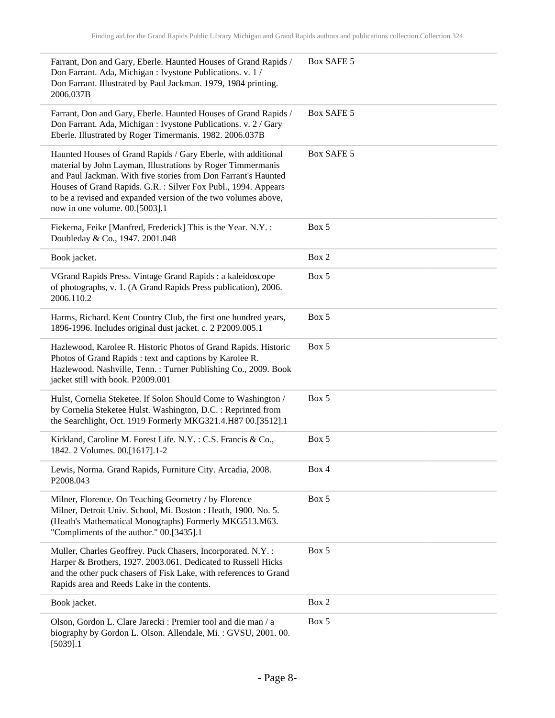| Farrant, Don and Gary, Eberle. Haunted Houses of Grand Rapids /<br>Don Farrant. Ada, Michigan : Ivystone Publications. v. 1 /<br>Don Farrant. Illustrated by Paul Jackman. 1979, 1984 printing.<br>2006.037B                                                                                                                                                         | Box SAFE 5 |
|----------------------------------------------------------------------------------------------------------------------------------------------------------------------------------------------------------------------------------------------------------------------------------------------------------------------------------------------------------------------|------------|
| Farrant, Don and Gary, Eberle. Haunted Houses of Grand Rapids /<br>Don Farrant. Ada, Michigan : Ivystone Publications. v. 2 / Gary<br>Eberle. Illustrated by Roger Timermanis. 1982. 2006.037B                                                                                                                                                                       | Box SAFE 5 |
| Haunted Houses of Grand Rapids / Gary Eberle, with additional<br>material by John Layman, Illustrations by Roger Timmermanis<br>and Paul Jackman. With five stories from Don Farrant's Haunted<br>Houses of Grand Rapids. G.R. : Silver Fox Publ., 1994. Appears<br>to be a revised and expanded version of the two volumes above,<br>now in one volume. 00.[5003].1 | Box SAFE 5 |
| Fiekema, Feike [Manfred, Frederick] This is the Year. N.Y. :<br>Doubleday & Co., 1947. 2001.048                                                                                                                                                                                                                                                                      | Box 5      |
| Book jacket.                                                                                                                                                                                                                                                                                                                                                         | Box 2      |
| VGrand Rapids Press. Vintage Grand Rapids : a kaleidoscope<br>of photographs, v. 1. (A Grand Rapids Press publication), 2006.<br>2006.110.2                                                                                                                                                                                                                          | Box 5      |
| Harms, Richard. Kent Country Club, the first one hundred years,<br>1896-1996. Includes original dust jacket. c. 2 P2009.005.1                                                                                                                                                                                                                                        | Box 5      |
| Hazlewood, Karolee R. Historic Photos of Grand Rapids. Historic<br>Photos of Grand Rapids : text and captions by Karolee R.<br>Hazlewood. Nashville, Tenn.: Turner Publishing Co., 2009. Book<br>jacket still with book. P2009.001                                                                                                                                   | Box 5      |
| Hulst, Cornelia Steketee. If Solon Should Come to Washington /<br>by Cornelia Steketee Hulst. Washington, D.C. : Reprinted from<br>the Searchlight, Oct. 1919 Formerly MKG321.4.H87 00.[3512].1                                                                                                                                                                      | Box 5      |
| Kirkland, Caroline M. Forest Life. N.Y.: C.S. Francis & Co.,<br>1842. 2 Volumes. 00.[1617].1-2                                                                                                                                                                                                                                                                       | Box 5      |
| Lewis, Norma. Grand Rapids, Furniture City. Arcadia, 2008.<br>P2008.043                                                                                                                                                                                                                                                                                              | Box 4      |
| Milner, Florence. On Teaching Geometry / by Florence<br>Milner, Detroit Univ. School, Mi. Boston : Heath, 1900. No. 5.<br>(Heath's Mathematical Monographs) Formerly MKG513.M63.<br>"Compliments of the author." 00.[3435].1                                                                                                                                         | Box 5      |
| Muller, Charles Geoffrey. Puck Chasers, Incorporated. N.Y. :<br>Harper & Brothers, 1927. 2003.061. Dedicated to Russell Hicks<br>and the other puck chasers of Fisk Lake, with references to Grand<br>Rapids area and Reeds Lake in the contents.                                                                                                                    | Box 5      |
| Book jacket.                                                                                                                                                                                                                                                                                                                                                         | Box 2      |
| Olson, Gordon L. Clare Jarecki : Premier tool and die man / a<br>biography by Gordon L. Olson. Allendale, Mi.: GVSU, 2001.00.<br>$[5039]$ .1                                                                                                                                                                                                                         | Box 5      |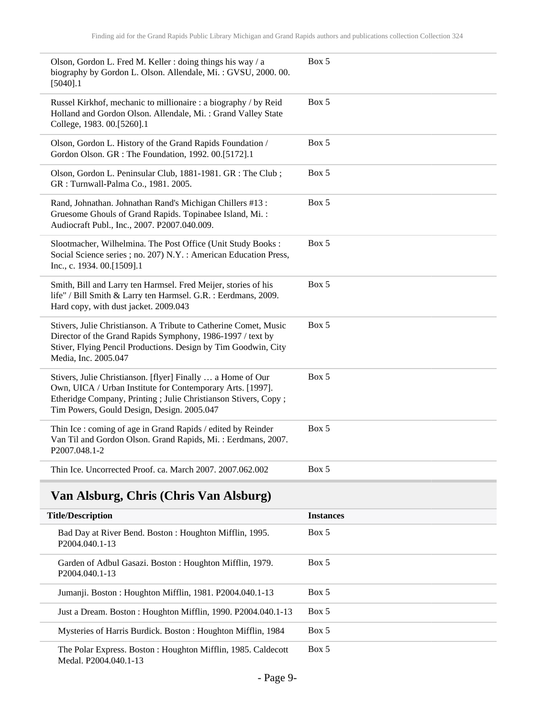| Olson, Gordon L. Fred M. Keller : doing things his way / a<br>biography by Gordon L. Olson. Allendale, Mi.: GVSU, 2000. 00.<br>$[5040]$ .1                                                                                                  | Box 5 |
|---------------------------------------------------------------------------------------------------------------------------------------------------------------------------------------------------------------------------------------------|-------|
| Russel Kirkhof, mechanic to millionaire : a biography / by Reid<br>Holland and Gordon Olson. Allendale, Mi.: Grand Valley State<br>College, 1983. 00.[5260].1                                                                               | Box 5 |
| Olson, Gordon L. History of the Grand Rapids Foundation /<br>Gordon Olson. GR : The Foundation, 1992. 00.[5172].1                                                                                                                           | Box 5 |
| Olson, Gordon L. Peninsular Club, 1881-1981. GR : The Club;<br>GR: Turnwall-Palma Co., 1981. 2005.                                                                                                                                          | Box 5 |
| Rand, Johnathan. Johnathan Rand's Michigan Chillers #13:<br>Gruesome Ghouls of Grand Rapids. Topinabee Island, Mi.:<br>Audiocraft Publ., Inc., 2007. P2007.040.009.                                                                         | Box 5 |
| Slootmacher, Wilhelmina. The Post Office (Unit Study Books:<br>Social Science series ; no. 207) N.Y. : American Education Press,<br>Inc., c. 1934. 00.[1509].1                                                                              | Box 5 |
| Smith, Bill and Larry ten Harmsel. Fred Meijer, stories of his<br>life" / Bill Smith & Larry ten Harmsel. G.R. : Eerdmans, 2009.<br>Hard copy, with dust jacket. 2009.043                                                                   | Box 5 |
| Stivers, Julie Christianson. A Tribute to Catherine Comet, Music<br>Director of the Grand Rapids Symphony, 1986-1997 / text by<br>Stiver, Flying Pencil Productions. Design by Tim Goodwin, City<br>Media, Inc. 2005.047                    | Box 5 |
| Stivers, Julie Christianson. [flyer] Finally  a Home of Our<br>Own, UICA / Urban Institute for Contemporary Arts. [1997].<br>Etheridge Company, Printing ; Julie Christianson Stivers, Copy ;<br>Tim Powers, Gould Design, Design. 2005.047 | Box 5 |
| Thin Ice : coming of age in Grand Rapids / edited by Reinder<br>Van Til and Gordon Olson. Grand Rapids, Mi.: Eerdmans, 2007.<br>P2007.048.1-2                                                                                               | Box 5 |
| Thin Ice. Uncorrected Proof. ca. March 2007. 2007.062.002                                                                                                                                                                                   | Box 5 |

# <span id="page-8-0"></span>**Van Alsburg, Chris (Chris Van Alsburg)**

| <b>Title/Description</b>                                                               | <b>Instances</b> |
|----------------------------------------------------------------------------------------|------------------|
| Bad Day at River Bend. Boston: Houghton Mifflin, 1995.<br>P <sub>2004.040.1</sub> -13  | Box 5            |
| Garden of Adbul Gasazi. Boston: Houghton Mifflin, 1979.<br>P <sub>2004</sub> .040.1-13 | Box 5            |
| Jumanji. Boston: Houghton Mifflin, 1981. P2004.040.1-13                                | Box 5            |
| Just a Dream. Boston: Houghton Mifflin, 1990. P2004.040.1-13                           | Box 5            |
| Mysteries of Harris Burdick. Boston: Houghton Mifflin, 1984                            | Box 5            |
| The Polar Express. Boston: Houghton Mifflin, 1985. Caldecott<br>Medal, P2004.040.1-13  | Box 5            |